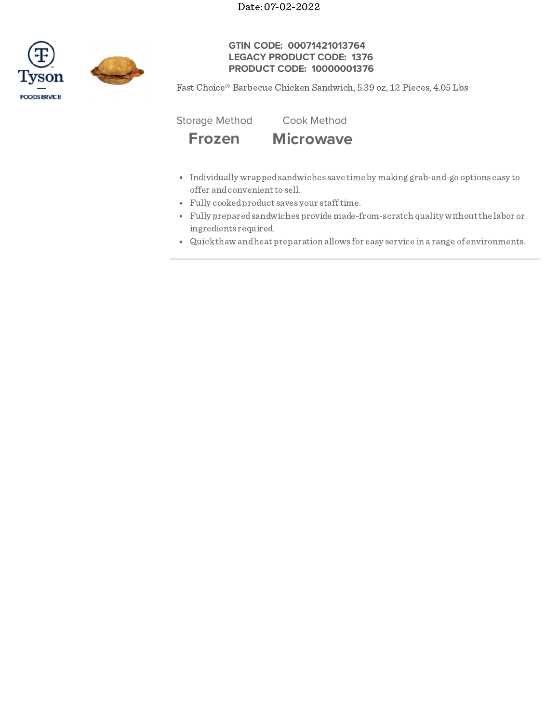Date: 07-02-2022



## **GTIN CODE: 00071421013764 LEGACY PRODUCT CODE: 1376 PRODUCT CODE: 10000001376**

Fast Choice® Barbecue Chicken Sandwich, 5.39 oz, 12 Pieces, 4.05 Lbs

Storage Method Cook Method

**Frozen Microwave**

- Individually wrappedsandwiches save time by making grab-and-go options easy to offer and convenient to sell.
- Fully cookedproduct saves your stafftime.
- Fully preparedsandwiches provide made-from-scratch quality withoutthe labor or ingredients required.
- Quickthaw andheat preparation allows for easy service in a range of environments.